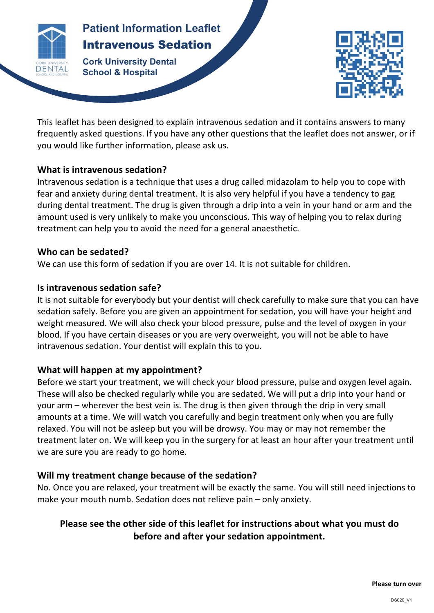

# **Patient Information Leaflet** Intravenous Sedation

**Patients INTERNATIONAL CONTRACTOR Cork University Dental School & Hospital**



This leaflet has been designed to explain intravenous sedation and it contains answers to many frequently asked questions. If you have any other questions that the leaflet does not answer, or if you would like further information, please ask us.

# **What is intravenous sedation?**

Intravenous sedation is a technique that uses a drug called midazolam to help you to cope with fear and anxiety during dental treatment. It is also very helpful if you have a tendency to gag during dental treatment. The drug is given through a drip into a vein in your hand or arm and the amount used is very unlikely to make you unconscious. This way of helping you to relax during treatment can help you to avoid the need for a general anaesthetic.

### Who can be sedated?

We can use this form of sedation if you are over 14. It is not suitable for children.

# **Is intravenous sedation safe?**

It is not suitable for everybody but your dentist will check carefully to make sure that you can have sedation safely. Before you are given an appointment for sedation, you will have your height and weight measured. We will also check your blood pressure, pulse and the level of oxygen in your blood. If you have certain diseases or you are very overweight, you will not be able to have intravenous sedation. Your dentist will explain this to you.

# **What will happen at my appointment?**

Before we start your treatment, we will check your blood pressure, pulse and oxygen level again. These will also be checked regularly while you are sedated. We will put a drip into your hand or your arm – wherever the best vein is. The drug is then given through the drip in very small amounts at a time. We will watch you carefully and begin treatment only when you are fully relaxed. You will not be asleep but you will be drowsy. You may or may not remember the treatment later on. We will keep you in the surgery for at least an hour after your treatment until we are sure you are ready to go home.

# Will my treatment change because of the sedation?

No. Once you are relaxed, your treatment will be exactly the same. You will still need injections to make your mouth numb. Sedation does not relieve pain – only anxiety.

# Please see the other side of this leaflet for instructions about what you must do **before and after your sedation appointment.**